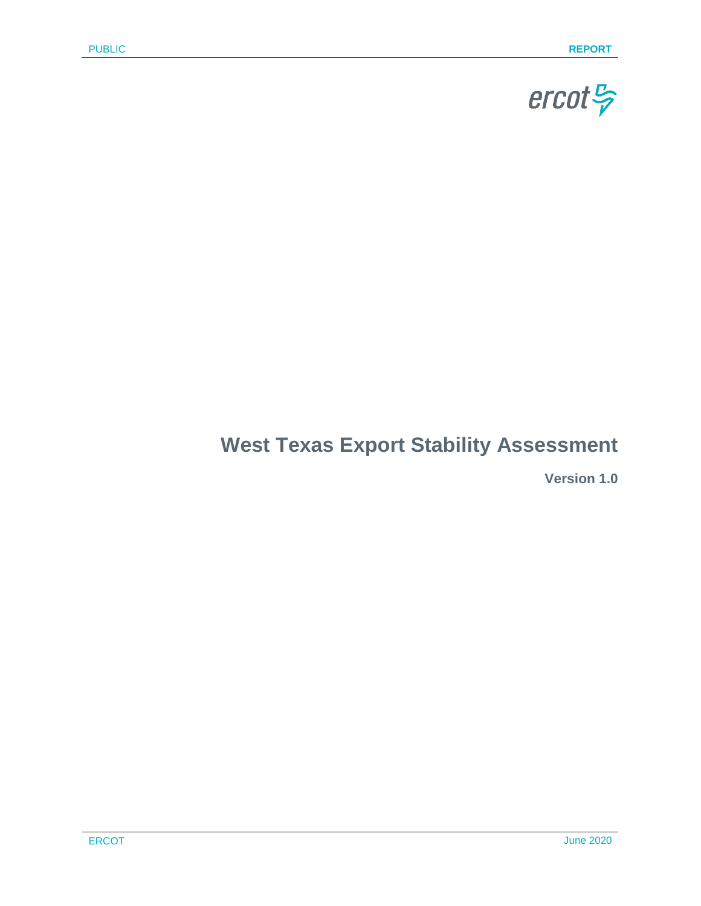

# **West Texas Export Stability Assessment**

**Version 1.0**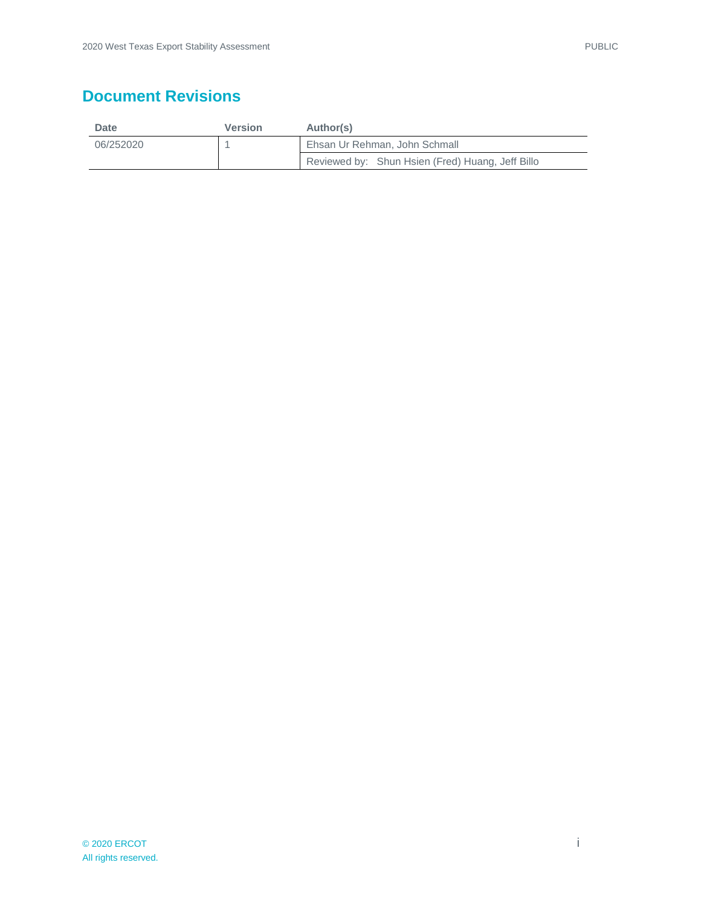# **Document Revisions**

| Date      | <b>Version</b> | Author(s)                                        |  |
|-----------|----------------|--------------------------------------------------|--|
| 06/252020 |                | Ehsan Ur Rehman, John Schmall                    |  |
|           |                | Reviewed by: Shun Hsien (Fred) Huang, Jeff Billo |  |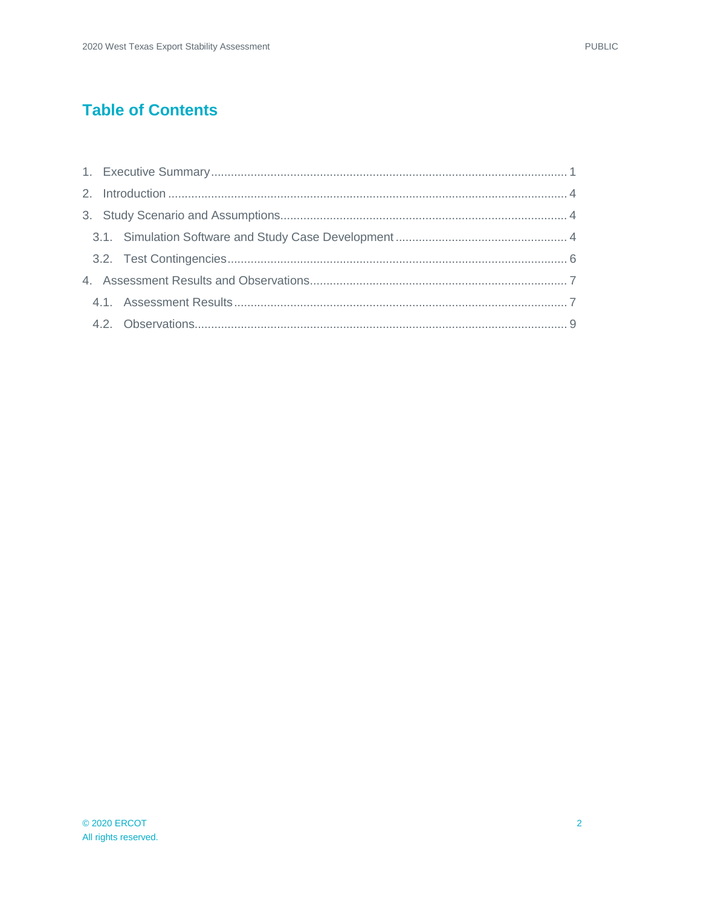# **Table of Contents**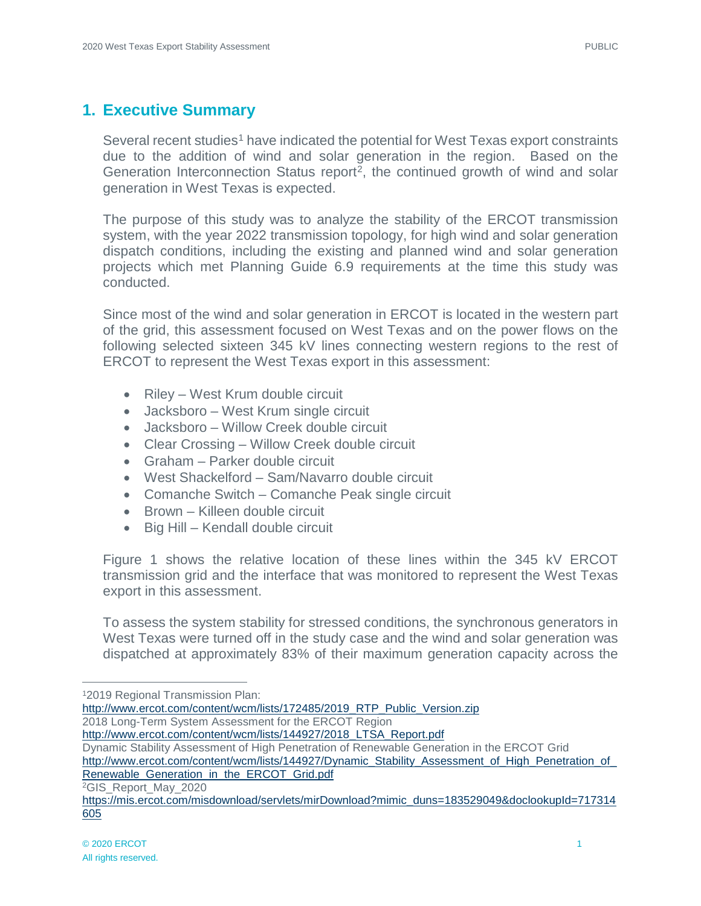# <span id="page-3-0"></span>**1. Executive Summary**

Several recent studies<sup>[1](#page-3-1)</sup> have indicated the potential for West Texas export constraints due to the addition of wind and solar generation in the region. Based on the Generation Interconnection Status report<sup>2</sup>, the continued growth of wind and solar generation in West Texas is expected.

The purpose of this study was to analyze the stability of the ERCOT transmission system, with the year 2022 transmission topology, for high wind and solar generation dispatch conditions, including the existing and planned wind and solar generation projects which met Planning Guide 6.9 requirements at the time this study was conducted.

Since most of the wind and solar generation in ERCOT is located in the western part of the grid, this assessment focused on West Texas and on the power flows on the following selected sixteen 345 kV lines connecting western regions to the rest of ERCOT to represent the West Texas export in this assessment:

- Riley West Krum double circuit
- Jacksboro West Krum single circuit
- Jacksboro Willow Creek double circuit
- Clear Crossing Willow Creek double circuit
- Graham Parker double circuit
- West Shackelford Sam/Navarro double circuit
- Comanche Switch Comanche Peak single circuit
- Brown Killeen double circuit
- Big Hill Kendall double circuit

Figure 1 shows the relative location of these lines within the 345 kV ERCOT transmission grid and the interface that was monitored to represent the West Texas export in this assessment.

To assess the system stability for stressed conditions, the synchronous generators in West Texas were turned off in the study case and the wind and solar generation was dispatched at approximately 83% of their maximum generation capacity across the

12019 Regional Transmission Plan:

<span id="page-3-1"></span>[http://www.ercot.com/content/wcm/lists/172485/2019\\_RTP\\_Public\\_Version.zip](http://www.ercot.com/content/wcm/lists/172485/2019_RTP_Public_Version.zip) 2018 Long-Term System Assessment for the ERCOT Region

[http://www.ercot.com/content/wcm/lists/144927/2018\\_LTSA\\_Report.pdf](http://www.ercot.com/content/wcm/lists/144927/2018_LTSA_Report.pdf)

Dynamic Stability Assessment of High Penetration of Renewable Generation in the ERCOT Grid

[http://www.ercot.com/content/wcm/lists/144927/Dynamic\\_Stability\\_Assessment\\_of\\_High\\_Penetration\\_of\\_](http://www.ercot.com/content/wcm/lists/144927/Dynamic_Stability_Assessment_of_High_Penetration_of_Renewable_Generation_in_the_ERCOT_Grid.pdf) [Renewable\\_Generation\\_in\\_the\\_ERCOT\\_Grid.pdf](http://www.ercot.com/content/wcm/lists/144927/Dynamic_Stability_Assessment_of_High_Penetration_of_Renewable_Generation_in_the_ERCOT_Grid.pdf)

<span id="page-3-2"></span>2GIS\_Report\_May\_2020

[https://mis.ercot.com/misdownload/servlets/mirDownload?mimic\\_duns=183529049&doclookupId=717314](https://mis.ercot.com/misdownload/servlets/mirDownload?mimic_duns=183529049&doclookupId=717314605) [605](https://mis.ercot.com/misdownload/servlets/mirDownload?mimic_duns=183529049&doclookupId=717314605)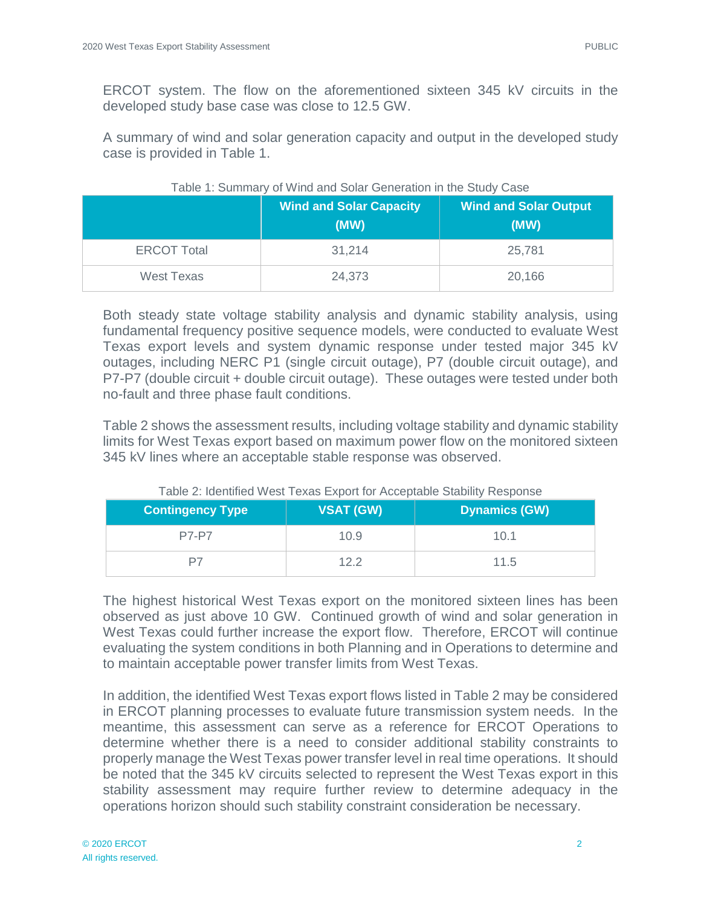ERCOT system. The flow on the aforementioned sixteen 345 kV circuits in the developed study base case was close to 12.5 GW.

A summary of wind and solar generation capacity and output in the developed study case is provided in Table 1.

|                    | <b>Wind and Solar Capacity</b><br>(MW) | <b>Wind and Solar Output</b><br>(MW) |
|--------------------|----------------------------------------|--------------------------------------|
| <b>ERCOT Total</b> | 31,214                                 | 25,781                               |
| West Texas         | 24,373                                 | 20,166                               |

#### Table 1: Summary of Wind and Solar Generation in the Study Case

Both steady state voltage stability analysis and dynamic stability analysis, using fundamental frequency positive sequence models, were conducted to evaluate West Texas export levels and system dynamic response under tested major 345 kV outages, including NERC P1 (single circuit outage), P7 (double circuit outage), and P7-P7 (double circuit + double circuit outage). These outages were tested under both no-fault and three phase fault conditions.

Table 2 shows the assessment results, including voltage stability and dynamic stability limits for West Texas export based on maximum power flow on the monitored sixteen 345 kV lines where an acceptable stable response was observed.

| <b>Contingency Type</b> | <b>VSAT (GW)</b> | <b>Dynamics (GW)</b> |
|-------------------------|------------------|----------------------|
| <b>P7-P7</b>            | 10.9             | 10.1                 |
|                         | 12.2             | 11.5                 |

#### Table 2: Identified West Texas Export for Acceptable Stability Response

The highest historical West Texas export on the monitored sixteen lines has been observed as just above 10 GW. Continued growth of wind and solar generation in West Texas could further increase the export flow. Therefore, ERCOT will continue evaluating the system conditions in both Planning and in Operations to determine and to maintain acceptable power transfer limits from West Texas.

In addition, the identified West Texas export flows listed in Table 2 may be considered in ERCOT planning processes to evaluate future transmission system needs. In the meantime, this assessment can serve as a reference for ERCOT Operations to determine whether there is a need to consider additional stability constraints to properly manage the West Texas power transfer level in real time operations. It should be noted that the 345 kV circuits selected to represent the West Texas export in this stability assessment may require further review to determine adequacy in the operations horizon should such stability constraint consideration be necessary.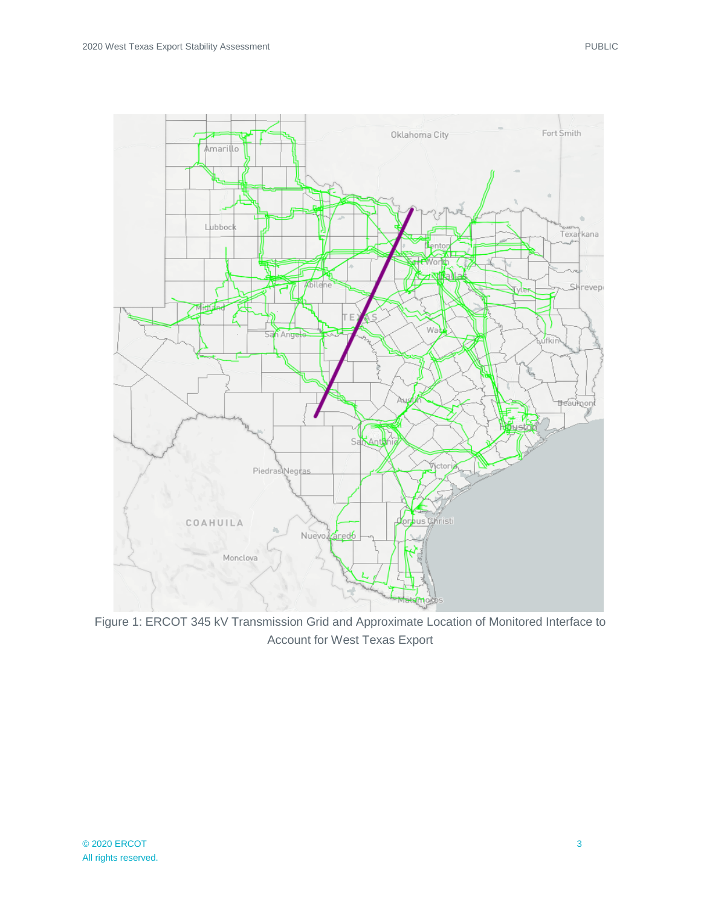

Figure 1: ERCOT 345 kV Transmission Grid and Approximate Location of Monitored Interface to Account for West Texas Export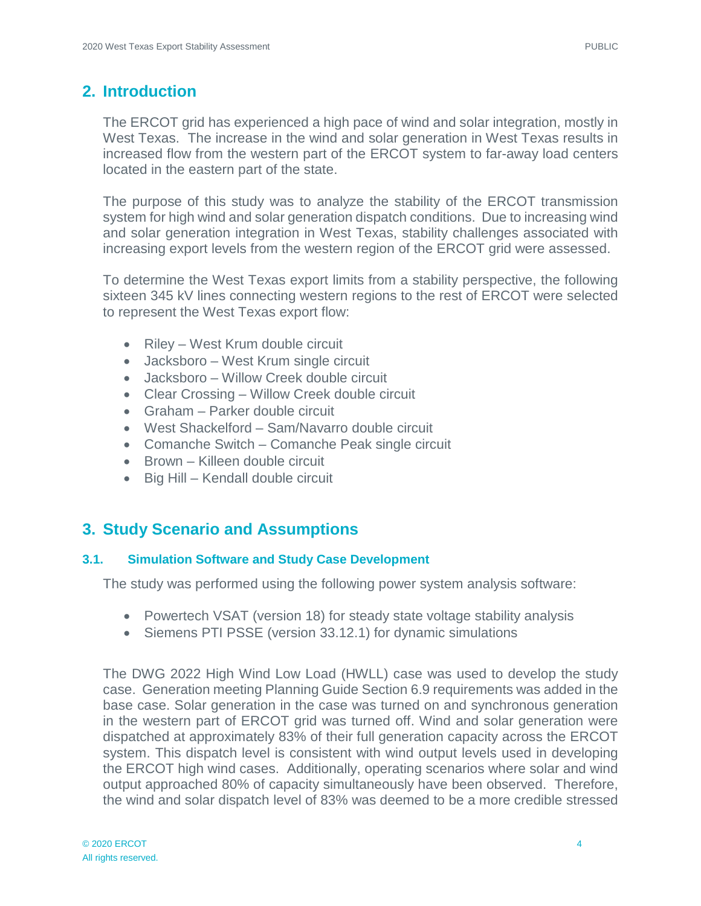# <span id="page-6-0"></span>**2. Introduction**

The ERCOT grid has experienced a high pace of wind and solar integration, mostly in West Texas. The increase in the wind and solar generation in West Texas results in increased flow from the western part of the ERCOT system to far-away load centers located in the eastern part of the state.

The purpose of this study was to analyze the stability of the ERCOT transmission system for high wind and solar generation dispatch conditions. Due to increasing wind and solar generation integration in West Texas, stability challenges associated with increasing export levels from the western region of the ERCOT grid were assessed.

To determine the West Texas export limits from a stability perspective, the following sixteen 345 kV lines connecting western regions to the rest of ERCOT were selected to represent the West Texas export flow:

- Riley West Krum double circuit
- Jacksboro West Krum single circuit
- Jacksboro Willow Creek double circuit
- Clear Crossing Willow Creek double circuit
- Graham Parker double circuit
- West Shackelford Sam/Navarro double circuit
- Comanche Switch Comanche Peak single circuit
- Brown Killeen double circuit
- Big Hill Kendall double circuit

### <span id="page-6-1"></span>**3. Study Scenario and Assumptions**

#### <span id="page-6-2"></span>**3.1. Simulation Software and Study Case Development**

The study was performed using the following power system analysis software:

- Powertech VSAT (version 18) for steady state voltage stability analysis
- Siemens PTI PSSE (version 33.12.1) for dynamic simulations

The DWG 2022 High Wind Low Load (HWLL) case was used to develop the study case. Generation meeting Planning Guide Section 6.9 requirements was added in the base case. Solar generation in the case was turned on and synchronous generation in the western part of ERCOT grid was turned off. Wind and solar generation were dispatched at approximately 83% of their full generation capacity across the ERCOT system. This dispatch level is consistent with wind output levels used in developing the ERCOT high wind cases. Additionally, operating scenarios where solar and wind output approached 80% of capacity simultaneously have been observed. Therefore, the wind and solar dispatch level of 83% was deemed to be a more credible stressed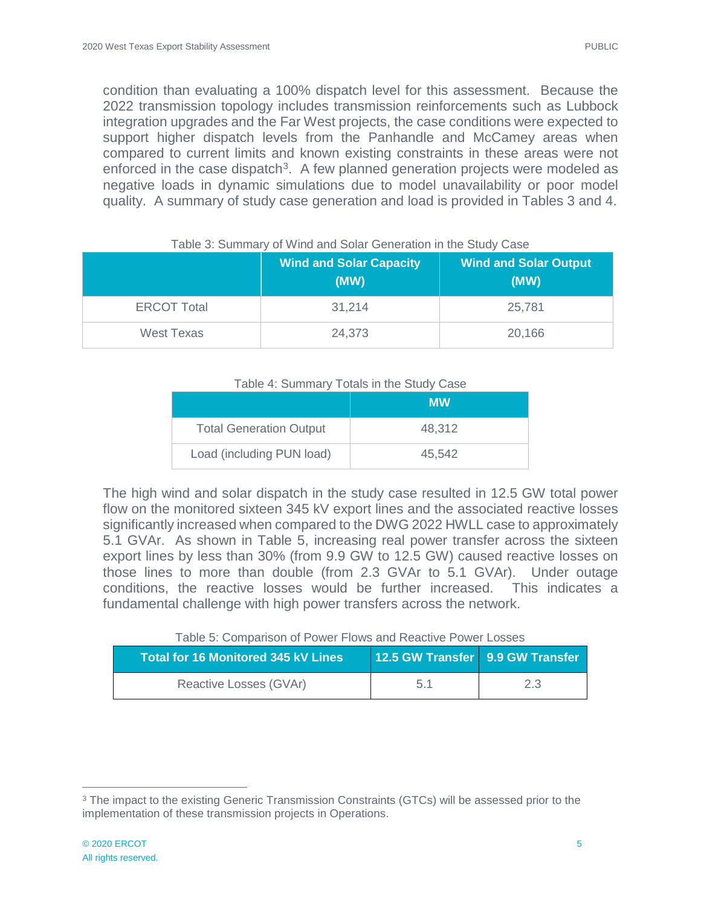condition than evaluating a 100% dispatch level for this assessment. Because the 2022 transmission topology includes transmission reinforcements such as Lubbock integration upgrades and the Far West projects, the case conditions were expected to support higher dispatch levels from the Panhandle and McCamey areas when compared to current limits and known existing constraints in these areas were not enforced in the case dispatch<sup>3</sup>. A few planned generation projects were modeled as negative loads in dynamic simulations due to model unavailability or poor model quality. A summary of study case generation and load is provided in Tables 3 and 4.

|                    | <b>Wind and Solar Capacity</b><br>(MW) | <b>Wind and Solar Output</b><br>(MW) |
|--------------------|----------------------------------------|--------------------------------------|
| <b>ERCOT Total</b> | 31,214                                 | 25,781                               |
| West Texas         | 24,373                                 | 20,166                               |

#### Table 3: Summary of Wind and Solar Generation in the Study Case

#### Table 4: Summary Totals in the Study Case

|                                | <b>MW</b> |
|--------------------------------|-----------|
| <b>Total Generation Output</b> | 48.312    |
| Load (including PUN load)      | 45.542    |

The high wind and solar dispatch in the study case resulted in 12.5 GW total power flow on the monitored sixteen 345 kV export lines and the associated reactive losses significantly increased when compared to the DWG 2022 HWLL case to approximately 5.1 GVAr. As shown in Table 5, increasing real power transfer across the sixteen export lines by less than 30% (from 9.9 GW to 12.5 GW) caused reactive losses on those lines to more than double (from 2.3 GVAr to 5.1 GVAr). Under outage conditions, the reactive losses would be further increased. This indicates a fundamental challenge with high power transfers across the network.

#### Table 5: Comparison of Power Flows and Reactive Power Losses

| <b>Total for 16 Monitored 345 kV Lines</b> | 12.5 GW Transfer 9.9 GW Transfer |     |
|--------------------------------------------|----------------------------------|-----|
| Reactive Losses (GVAr)                     | 5.1                              | 2.3 |

<span id="page-7-0"></span><sup>&</sup>lt;sup>3</sup> The impact to the existing Generic Transmission Constraints (GTCs) will be assessed prior to the implementation of these transmission projects in Operations.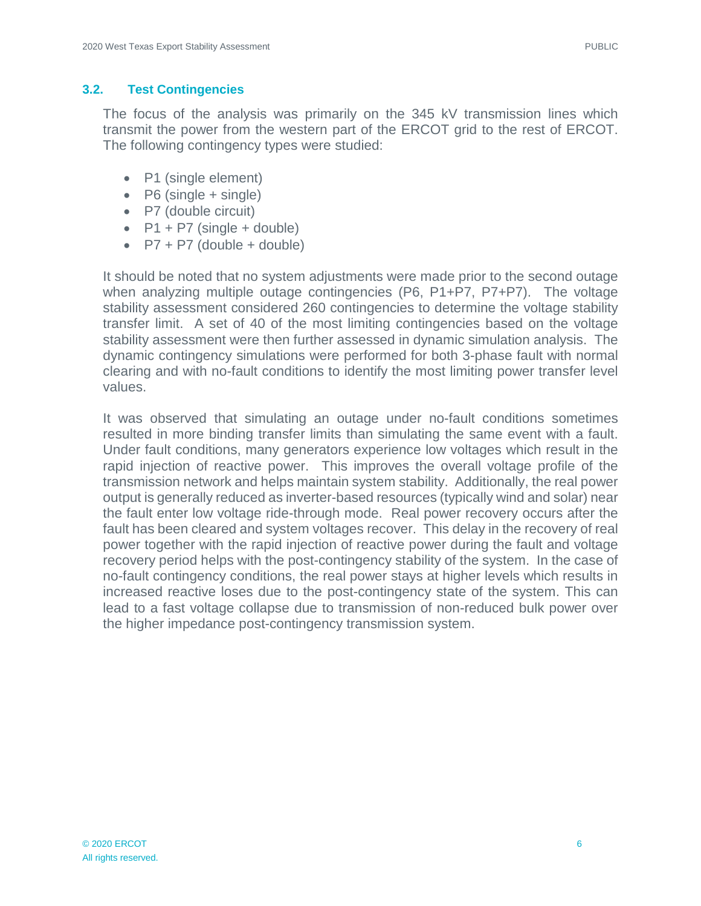#### <span id="page-8-0"></span>**3.2. Test Contingencies**

The focus of the analysis was primarily on the 345 kV transmission lines which transmit the power from the western part of the ERCOT grid to the rest of ERCOT. The following contingency types were studied:

- P1 (single element)
- $\bullet$  P6 (single + single)
- P7 (double circuit)
- $P1 + P7$  (single + double)
- $P7 + P7$  (double + double)

It should be noted that no system adjustments were made prior to the second outage when analyzing multiple outage contingencies (P6, P1+P7, P7+P7). The voltage stability assessment considered 260 contingencies to determine the voltage stability transfer limit. A set of 40 of the most limiting contingencies based on the voltage stability assessment were then further assessed in dynamic simulation analysis. The dynamic contingency simulations were performed for both 3-phase fault with normal clearing and with no-fault conditions to identify the most limiting power transfer level values.

It was observed that simulating an outage under no-fault conditions sometimes resulted in more binding transfer limits than simulating the same event with a fault. Under fault conditions, many generators experience low voltages which result in the rapid injection of reactive power. This improves the overall voltage profile of the transmission network and helps maintain system stability. Additionally, the real power output is generally reduced as inverter-based resources (typically wind and solar) near the fault enter low voltage ride-through mode. Real power recovery occurs after the fault has been cleared and system voltages recover. This delay in the recovery of real power together with the rapid injection of reactive power during the fault and voltage recovery period helps with the post-contingency stability of the system. In the case of no-fault contingency conditions, the real power stays at higher levels which results in increased reactive loses due to the post-contingency state of the system. This can lead to a fast voltage collapse due to transmission of non-reduced bulk power over the higher impedance post-contingency transmission system.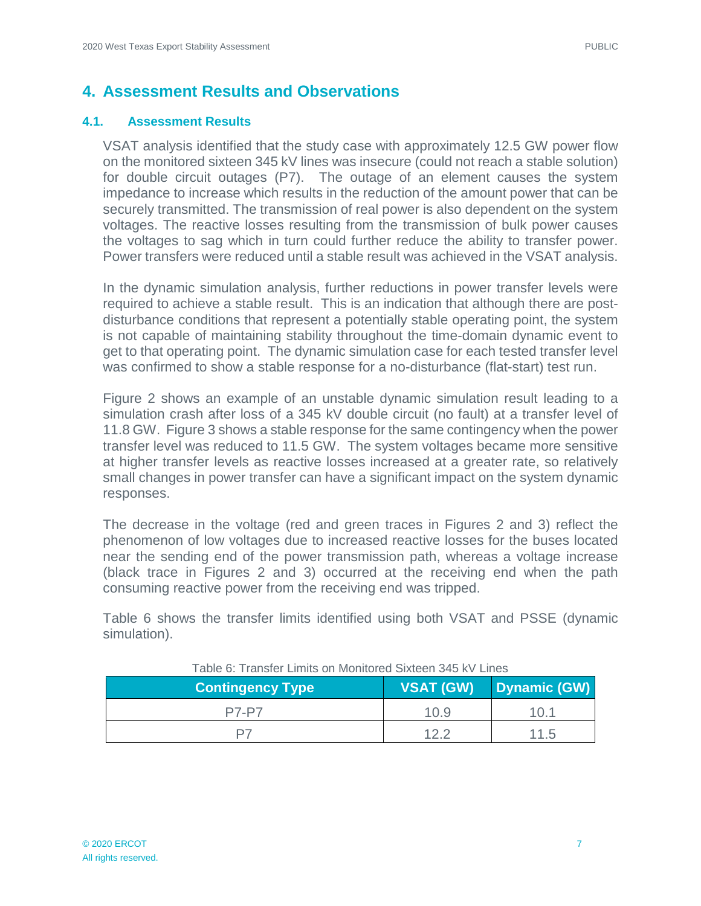### <span id="page-9-0"></span>**4. Assessment Results and Observations**

#### <span id="page-9-1"></span>**4.1. Assessment Results**

VSAT analysis identified that the study case with approximately 12.5 GW power flow on the monitored sixteen 345 kV lines was insecure (could not reach a stable solution) for double circuit outages (P7). The outage of an element causes the system impedance to increase which results in the reduction of the amount power that can be securely transmitted. The transmission of real power is also dependent on the system voltages. The reactive losses resulting from the transmission of bulk power causes the voltages to sag which in turn could further reduce the ability to transfer power. Power transfers were reduced until a stable result was achieved in the VSAT analysis.

In the dynamic simulation analysis, further reductions in power transfer levels were required to achieve a stable result. This is an indication that although there are postdisturbance conditions that represent a potentially stable operating point, the system is not capable of maintaining stability throughout the time-domain dynamic event to get to that operating point. The dynamic simulation case for each tested transfer level was confirmed to show a stable response for a no-disturbance (flat-start) test run.

Figure 2 shows an example of an unstable dynamic simulation result leading to a simulation crash after loss of a 345 kV double circuit (no fault) at a transfer level of 11.8 GW. Figure 3 shows a stable response for the same contingency when the power transfer level was reduced to 11.5 GW. The system voltages became more sensitive at higher transfer levels as reactive losses increased at a greater rate, so relatively small changes in power transfer can have a significant impact on the system dynamic responses.

The decrease in the voltage (red and green traces in Figures 2 and 3) reflect the phenomenon of low voltages due to increased reactive losses for the buses located near the sending end of the power transmission path, whereas a voltage increase (black trace in Figures 2 and 3) occurred at the receiving end when the path consuming reactive power from the receiving end was tripped.

Table 6 shows the transfer limits identified using both VSAT and PSSE (dynamic simulation).

| TUDIO VI TTUNIJIU EININJ VITINJINIUTUU UIALUUN JAV IVY EINUJ<br><b>Contingency Type</b> | <b>VSAT (GW)</b> | Dynamic (GW) |
|-----------------------------------------------------------------------------------------|------------------|--------------|
| <b>P7-P7</b>                                                                            | 10.9             | 1በ 1         |
| דם                                                                                      | 12 2             | 11.5         |

Table 6: Transfer Limits on Monitored Sixteen 345 kV Lines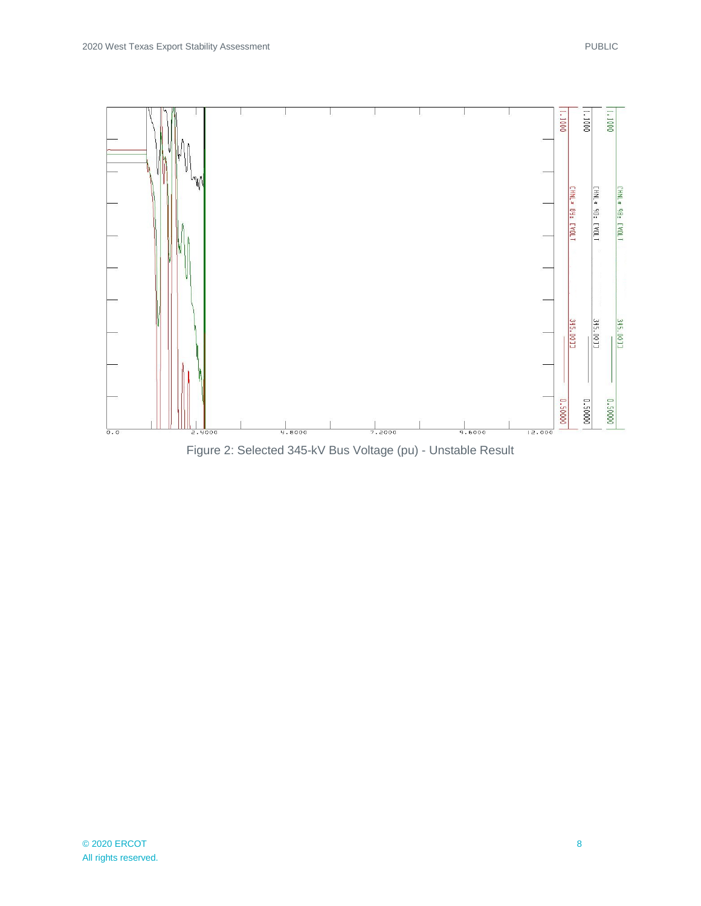

Figure 2: Selected 345-kV Bus Voltage (pu) - Unstable Result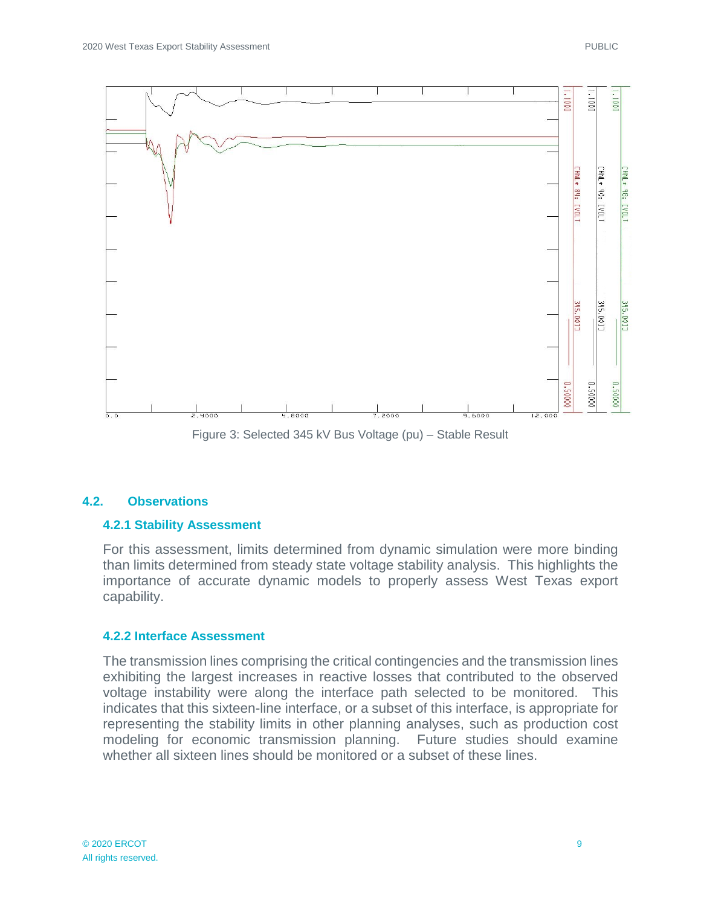

Figure 3: Selected 345 kV Bus Voltage (pu) – Stable Result

#### <span id="page-11-0"></span>**4.2. Observations**

#### **4.2.1 Stability Assessment**

For this assessment, limits determined from dynamic simulation were more binding than limits determined from steady state voltage stability analysis. This highlights the importance of accurate dynamic models to properly assess West Texas export capability.

#### **4.2.2 Interface Assessment**

The transmission lines comprising the critical contingencies and the transmission lines exhibiting the largest increases in reactive losses that contributed to the observed voltage instability were along the interface path selected to be monitored. This indicates that this sixteen-line interface, or a subset of this interface, is appropriate for representing the stability limits in other planning analyses, such as production cost modeling for economic transmission planning. Future studies should examine whether all sixteen lines should be monitored or a subset of these lines.